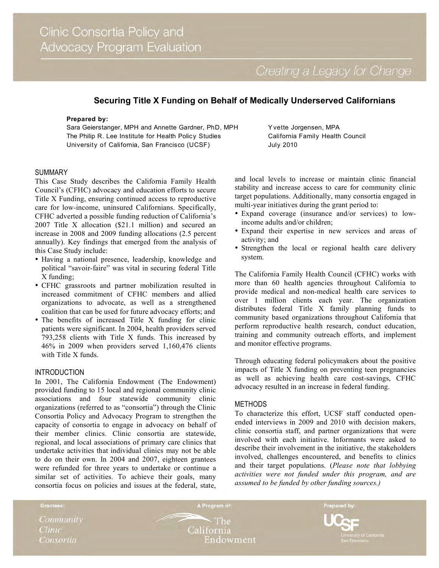Creating a Legacy for Change

# **Securing Title X Funding on Behalf of Medically Underserved Californians**

#### **Prepared by:**

Sara Geierstanger, MPH and Annette Gardner, PhD, MPH The Philip R. Lee Institute for Health Policy Studies University of California, San Francisco (UCSF)

#### SUMMARY

This Case Study describes the California Family Health Council's (CFHC) advocacy and education efforts to secure Title X Funding, ensuring continued access to reproductive care for low-income, uninsured Californians. Specifically, CFHC adverted a possible funding reduction of California's 2007 Title X allocation (\$21.1 million) and secured an increase in 2008 and 2009 funding allocations (2.5 percent annually). Key findings that emerged from the analysis of this Case Study include:

- Having a national presence, leadership, knowledge and political "savoir-faire" was vital in securing federal Title X funding;
- CFHC grassroots and partner mobilization resulted in increased commitment of CFHC members and allied organizations to advocate, as well as a strengthened coalition that can be used for future advocacy efforts; and
- The benefits of increased Title X funding for clinic patients were significant. In 2004, health providers served 793,258 clients with Title X funds. This increased by 46% in 2009 when providers served 1,160,476 clients with Title X funds.

## INTRODUCTION

In 2001, The California Endowment (The Endowment) provided funding to 15 local and regional community clinic associations and four statewide community clinic organizations (referred to as "consortia") through the Clinic Consortia Policy and Advocacy Program to strengthen the capacity of consortia to engage in advocacy on behalf of their member clinics. Clinic consortia are statewide, regional, and local associations of primary care clinics that undertake activities that individual clinics may not be able to do on their own. In 2004 and 2007, eighteen grantees were refunded for three years to undertake or continue a similar set of activities. To achieve their goals, many consortia focus on policies and issues at the federal, state,

Y vette Jorgensen, MPA California Family Health Council July 2010

and local levels to increase or maintain clinic financial stability and increase access to care for community clinic target populations. Additionally, many consortia engaged in multi-year initiatives during the grant period to:

- Expand coverage (insurance and/or services) to lowincome adults and/or children;
- Expand their expertise in new services and areas of activity; and
- Strengthen the local or regional health care delivery system.

The California Family Health Council (CFHC) works with more than 60 health agencies throughout California to provide medical and non-medical health care services to over 1 million clients each year. The organization distributes federal Title X family planning funds to community based organizations throughout California that perform reproductive health research, conduct education, training and community outreach efforts, and implement and monitor effective programs.

Through educating federal policymakers about the positive impacts of Title X funding on preventing teen pregnancies as well as achieving health care cost-savings, CFHC advocacy resulted in an increase in federal funding.

#### METHODS

To characterize this effort, UCSF staff conducted openended interviews in 2009 and 2010 with decision makers, clinic consortia staff, and partner organizations that were involved with each initiative. Informants were asked to describe their involvement in the initiative, the stakeholders involved, challenges encountered, and benefits to clinics and their target populations. (*Please note that lobbying activities were not funded under this program, and are assumed to be funded by other funding sources.)*

Grantees: A Program of: Prepared by: Community  $\cdot$  The California **Clinic** Consortia Endowment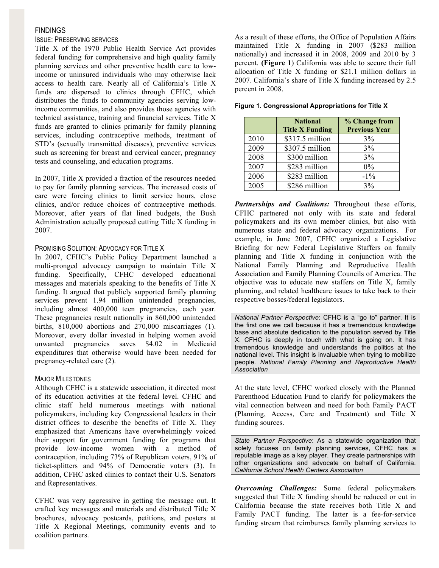#### FINDINGS

## ISSUE: PRESERVING SERVICES

Title X of the 1970 Public Health Service Act provides federal funding for comprehensive and high quality family planning services and other preventive health care to lowincome or uninsured individuals who may otherwise lack access to health care. Nearly all of California's Title X funds are dispersed to clinics through CFHC, which distributes the funds to community agencies serving lowincome communities, and also provides those agencies with technical assistance, training and financial services. Title X funds are granted to clinics primarily for family planning services, including contraceptive methods, treatment of STD's (sexually transmitted diseases), preventive services such as screening for breast and cervical cancer, pregnancy tests and counseling, and education programs.

In 2007, Title X provided a fraction of the resources needed to pay for family planning services. The increased costs of care were forcing clinics to limit service hours, close clinics, and/or reduce choices of contraceptive methods. Moreover, after years of flat lined budgets, the Bush Administration actually proposed cutting Title X funding in 2007.

## PROMISING SOLUTION: ADVOCACY FOR TITLE X

In 2007, CFHC's Public Policy Department launched a multi-pronged advocacy campaign to maintain Title X funding. Specifically, CFHC developed educational messages and materials speaking to the benefits of Title X funding. It argued that publicly supported family planning services prevent 1.94 million unintended pregnancies, including almost 400,000 teen pregnancies, each year. These pregnancies result nationally in 860,000 unintended births, 810,000 abortions and 270,000 miscarriages (1). Moreover, every dollar invested in helping women avoid unwanted pregnancies saves \$4.02 in Medicaid expenditures that otherwise would have been needed for pregnancy-related care (2).

### MAJOR MILESTONES

Although CFHC is a statewide association, it directed most of its education activities at the federal level. CFHC and clinic staff held numerous meetings with national policymakers, including key Congressional leaders in their district offices to describe the benefits of Title X. They emphasized that Americans have overwhelmingly voiced their support for government funding for programs that provide low-income women with a method of contraception, including 73% of Republican voters, 91% of ticket-splitters and 94% of Democratic voters (3). In addition, CFHC asked clinics to contact their U.S. Senators and Representatives.

CFHC was very aggressive in getting the message out. It crafted key messages and materials and distributed Title X brochures, advocacy postcards, petitions, and posters at Title X Regional Meetings, community events and to coalition partners.

As a result of these efforts, the Office of Population Affairs maintained Title X funding in 2007 (\$283 million nationally) and increased it in 2008, 2009 and 2010 by 3 percent. **(Figure 1**) California was able to secure their full allocation of Title X funding or \$21.1 million dollars in 2007. California's share of Title X funding increased by 2.5 percent in 2008.

| Figure 1. Congressional Appropriations for Title X |  |  |  |
|----------------------------------------------------|--|--|--|
|                                                    |  |  |  |

|      | <b>National</b>        | % Change from        |  |  |  |
|------|------------------------|----------------------|--|--|--|
|      | <b>Title X Funding</b> | <b>Previous Year</b> |  |  |  |
| 2010 | \$317.5 million        | 3%                   |  |  |  |
| 2009 | \$307.5 million        | 3%                   |  |  |  |
| 2008 | \$300 million          | 3%                   |  |  |  |
| 2007 | \$283 million          | $0\%$                |  |  |  |
| 2006 | \$283 million          | $-1\%$               |  |  |  |
| 2005 | \$286 million          | 3%                   |  |  |  |

*Partnerships and Coalitions:* Throughout these efforts, CFHC partnered not only with its state and federal policymakers and its own member clinics, but also with numerous state and federal advocacy organizations. For example, in June 2007, CFHC organized a Legislative Briefing for new Federal Legislative Staffers on family planning and Title X funding in conjunction with the National Family Planning and Reproductive Health Association and Family Planning Councils of America. The objective was to educate new staffers on Title X, family planning, and related healthcare issues to take back to their respective bosses/federal legislators.

*National Partner Perspective*: CFHC is a "go to" partner. It is the first one we call because it has a tremendous knowledge base and absolute dedication to the population served by Title X. CFHC is deeply in touch with what is going on. It has tremendous knowledge and understands the politics at the national level. This insight is invaluable when trying to mobilize people. *National Family Planning and Reproductive Health Association*

At the state level, CFHC worked closely with the Planned Parenthood Education Fund to clarify for policymakers the vital connection between and need for both Family PACT (Planning, Access, Care and Treatment) and Title X funding sources.

*State Partner Perspective*: As a statewide organization that solely focuses on family planning services, CFHC has a reputable image as a key player. They create partnerships with other organizations and advocate on behalf of California. *California School Health Centers Association* 

*Overcoming Challenges:* Some federal policymakers suggested that Title X funding should be reduced or cut in California because the state receives both Title X and Family PACT funding. The latter is a fee-for-service funding stream that reimburses family planning services to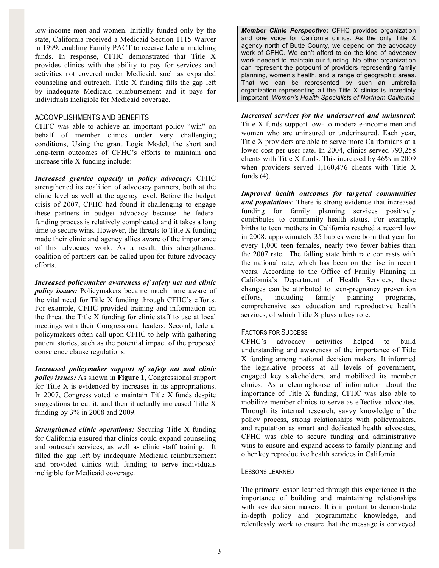low-income men and women. Initially funded only by the state, California received a Medicaid Section 1115 Waiver in 1999, enabling Family PACT to receive federal matching funds. In response, CFHC demonstrated that Title X provides clinics with the ability to pay for services and activities not covered under Medicaid, such as expanded counseling and outreach. Title X funding fills the gap left by inadequate Medicaid reimbursement and it pays for individuals ineligible for Medicaid coverage.

### ACCOMPLISHMENTS AND BENEFITS

CHFC was able to achieve an important policy "win" on behalf of member clinics under very challenging conditions, Using the grant Logic Model, the short and long-term outcomes of CFHC's efforts to maintain and increase title X funding include:

*Increased grantee capacity in policy advocacy:* CFHC strengthened its coalition of advocacy partners, both at the clinic level as well at the agency level. Before the budget crisis of 2007, CFHC had found it challenging to engage these partners in budget advocacy because the federal funding process is relatively complicated and it takes a long time to secure wins. However, the threats to Title X funding made their clinic and agency allies aware of the importance of this advocacy work. As a result, this strengthened coalition of partners can be called upon for future advocacy efforts.

*Increased policymaker awareness of safety net and clinic policy issues:* Policymakers became much more aware of the vital need for Title X funding through CFHC's efforts. For example, CFHC provided training and information on the threat the Title X funding for clinic staff to use at local meetings with their Congressional leaders. Second, federal policymakers often call upon CFHC to help with gathering patient stories, such as the potential impact of the proposed conscience clause regulations.

*Increased policymaker support of safety net and clinic policy issues:* As shown in **Figure 1**, Congressional support for Title X is evidenced by increases in its appropriations. In 2007, Congress voted to maintain Title X funds despite suggestions to cut it, and then it actually increased Title X funding by 3% in 2008 and 2009.

*Strengthened clinic operations:* Securing Title X funding for California ensured that clinics could expand counseling and outreach services, as well as clinic staff training. It filled the gap left by inadequate Medicaid reimbursement and provided clinics with funding to serve individuals ineligible for Medicaid coverage.

*Member Clinic Perspective:* CFHC provides organization and one voice for California clinics. As the only Title X agency north of Butte County, we depend on the advocacy work of CFHC. We can't afford to do the kind of advocacy work needed to maintain our funding. No other organization can represent the potpourri of providers representing family planning, women's health, and a range of geographic areas. That we can be represented by such an umbrella organization representing all the Title X clinics is incredibly important. *Women's Health Specialists of Northern California*

### *Increased services for the underserved and uninsured*:

Title X funds support low- to moderate-income men and women who are uninsured or underinsured. Each year, Title X providers are able to serve more Californians at a lower cost per user rate. In 2004, clinics served 793,258 clients with Title X funds. This increased by 46% in 2009 when providers served 1,160,476 clients with Title X funds (4).

*Improved health outcomes for targeted communities and populations*: There is strong evidence that increased funding for family planning services positively contributes to community health status. For example, births to teen mothers in California reached a record low in 2008: approximately 35 babies were born that year for every 1,000 teen females, nearly two fewer babies than the 2007 rate. The falling state birth rate contrasts with the national rate, which has been on the rise in recent years. According to the Office of Family Planning in California's Department of Health Services, these changes can be attributed to teen-pregnancy prevention efforts, including family planning programs, comprehensive sex education and reproductive health services, of which Title X plays a key role.

### FACTORS FOR SUCCESS

CFHC's advocacy activities helped to build understanding and awareness of the importance of Title X funding among national decision makers. It informed the legislative process at all levels of government, engaged key stakeholders, and mobilized its member clinics. As a clearinghouse of information about the importance of Title X funding, CFHC was also able to mobilize member clinics to serve as effective advocates. Through its internal research, savvy knowledge of the policy process, strong relationships with policymakers, and reputation as smart and dedicated health advocates, CFHC was able to secure funding and administrative wins to ensure and expand access to family planning and other key reproductive health services in California.

#### LESSONS LEARNED

The primary lesson learned through this experience is the importance of building and maintaining relationships with key decision makers. It is important to demonstrate in-depth policy and programmatic knowledge, and relentlessly work to ensure that the message is conveyed